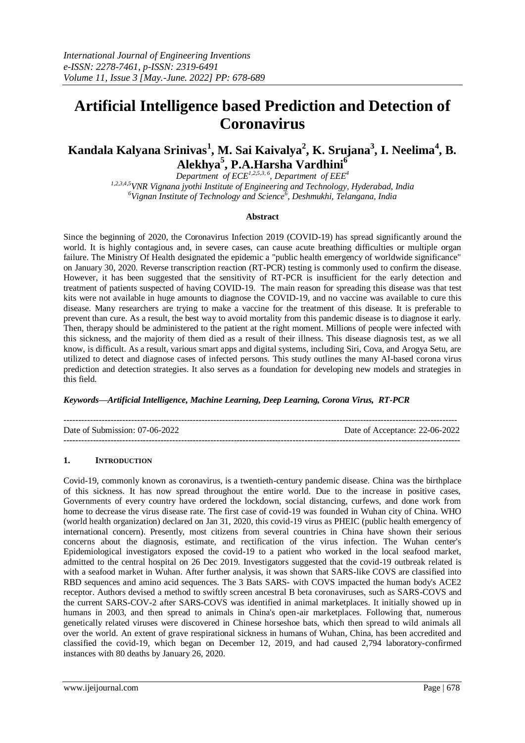# **Artificial Intelligence based Prediction and Detection of Coronavirus**

**Kandala Kalyana Srinivas<sup>1</sup> , M. Sai Kaivalya<sup>2</sup> , K. Srujana<sup>3</sup> , I. Neelima<sup>4</sup> , B. Alekhya<sup>5</sup> , P.A.Harsha Vardhini<sup>6</sup>**

*Department of ECE1,2,5,3, 6 , Department of EEE<sup>4</sup>*

*1,2,3,4,5VNR Vignana jyothi Institute of Engineering and Technology, Hyderabad, India <sup>6</sup>Vignan Institute of Technology and Science<sup>6</sup> , Deshmukhi, Telangana, India*

#### **Abstract**

Since the beginning of 2020, the Coronavirus Infection 2019 (COVID-19) has spread significantly around the world. It is highly contagious and, in severe cases, can cause acute breathing difficulties or multiple organ failure. The Ministry Of Health designated the epidemic a "public health emergency of worldwide significance" on January 30, 2020. Reverse transcription reaction (RT-PCR) testing is commonly used to confirm the disease. However, it has been suggested that the sensitivity of RT-PCR is insufficient for the early detection and treatment of patients suspected of having COVID-19. The main reason for spreading this disease was that test kits were not available in huge amounts to diagnose the COVID-19, and no vaccine was available to cure this disease. Many researchers are trying to make a vaccine for the treatment of this disease. It is preferable to prevent than cure. As a result, the best way to avoid mortality from this pandemic disease is to diagnose it early. Then, therapy should be administered to the patient at the right moment. Millions of people were infected with this sickness, and the majority of them died as a result of their illness. This disease diagnosis test, as we all know, is difficult. As a result, various smart apps and digital systems, including Siri, Cova, and Arogya Setu, are utilized to detect and diagnose cases of infected persons. This study outlines the many AI-based corona virus prediction and detection strategies. It also serves as a foundation for developing new models and strategies in this field.

#### *Keywords—Artificial Intelligence, Machine Learning, Deep Learning, Corona Virus, RT-PCR*

| Date of Submission: 07-06-2022 | Date of Acceptance: 22-06-2022 |
|--------------------------------|--------------------------------|
|                                |                                |

#### **1. INTRODUCTION**

Covid-19, commonly known as coronavirus, is a twentieth-century pandemic disease. China was the birthplace of this sickness. It has now spread throughout the entire world. Due to the increase in positive cases, Governments of every country have ordered the lockdown, social distancing, curfews, and done work from home to decrease the virus disease rate. The first case of covid-19 was founded in Wuhan city of China. WHO (world health organization) declared on Jan 31, 2020, this covid-19 virus as PHEIC (public health emergency of international concern). Presently, most citizens from several countries in China have shown their serious concerns about the diagnosis, estimate, and rectification of the virus infection. The Wuhan center's Epidemiological investigators exposed the covid-19 to a patient who worked in the local seafood market, admitted to the central hospital on 26 Dec 2019. Investigators suggested that the covid-19 outbreak related is with a seafood market in Wuhan. After further analysis, it was shown that SARS-like COVS are classified into RBD sequences and amino acid sequences. The 3 Bats SARS- with COVS impacted the human body's ACE2 receptor. Authors devised a method to swiftly screen ancestral B beta coronaviruses, such as SARS-COVS and the current SARS-COV-2 after SARS-COVS was identified in animal marketplaces. It initially showed up in humans in 2003, and then spread to animals in China's open-air marketplaces. Following that, numerous genetically related viruses were discovered in Chinese horseshoe bats, which then spread to wild animals all over the world. An extent of grave respirational sickness in humans of Wuhan, China, has been accredited and classified the covid-19, which began on December 12, 2019, and had caused 2,794 laboratory-confirmed instances with 80 deaths by January 26, 2020.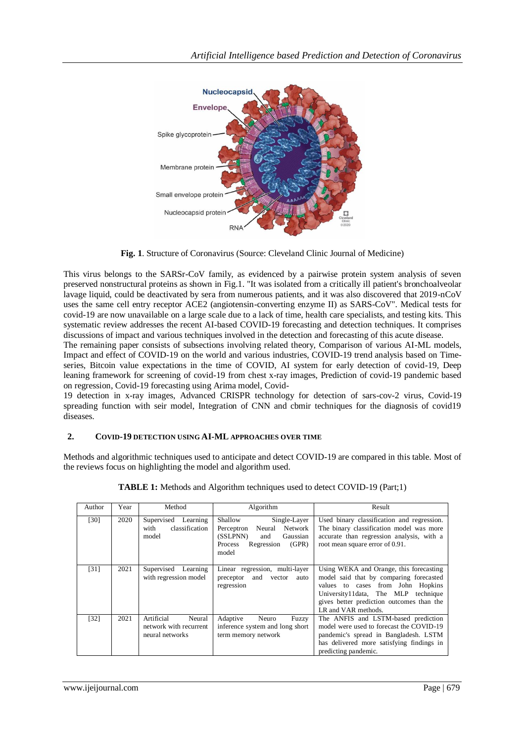

**Fig. 1**. Structure of Coronavirus (Source: Cleveland Clinic Journal of Medicine)

This virus belongs to the SARSr-CoV family, as evidenced by a pairwise protein system analysis of seven preserved nonstructural proteins as shown in Fig.1. "It was isolated from a critically ill patient's bronchoalveolar lavage liquid, could be deactivated by sera from numerous patients, and it was also discovered that 2019-nCoV uses the same cell entry receptor ACE2 (angiotensin-converting enzyme II) as SARS-CoV". Medical tests for covid-19 are now unavailable on a large scale due to a lack of time, health care specialists, and testing kits. This systematic review addresses the recent AI-based COVID-19 forecasting and detection techniques. It comprises discussions of impact and various techniques involved in the detection and forecasting of this acute disease.

The remaining paper consists of subsections involving related theory, Comparison of various AI-ML models, Impact and effect of COVID-19 on the world and various industries, COVID-19 trend analysis based on Timeseries, Bitcoin value expectations in the time of COVID, AI system for early detection of covid-19, Deep leaning framework for screening of covid-19 from chest x-ray images, Prediction of covid-19 pandemic based on regression, Covid-19 forecasting using Arima model, Covid-

19 detection in x-ray images, Advanced CRISPR technology for detection of sars-cov-2 virus, Covid-19 spreading function with seir model, Integration of CNN and cbmir techniques for the diagnosis of covid19 diseases.

## **2. COVID-19 DETECTION USING AI-ML APPROACHES OVER TIME**

Methods and algorithmic techniques used to anticipate and detect COVID-19 are compared in this table. Most of the reviews focus on highlighting the model and algorithm used.

| Author | Year | Method                                                            | Algorithm                                                                                                                            | Result                                                                                                                                                                                                                              |
|--------|------|-------------------------------------------------------------------|--------------------------------------------------------------------------------------------------------------------------------------|-------------------------------------------------------------------------------------------------------------------------------------------------------------------------------------------------------------------------------------|
| [30]   | 2020 | Supervised Learning<br>classification<br>with<br>model            | Shallow<br>Single-Layer<br>Neural<br>Network<br>Perceptron<br>(SSLPNN)<br>Gaussian<br>and<br>(GPR)<br>Process<br>Regression<br>model | Used binary classification and regression.<br>The binary classification model was more<br>accurate than regression analysis, with a<br>root mean square error of 0.91.                                                              |
| [31]   | 2021 | Supervised Learning<br>with regression model                      | Linear regression, multi-layer<br>preceptor and<br>vector<br>auto<br>regression                                                      | Using WEKA and Orange, this forecasting<br>model said that by comparing forecasted<br>values to cases from John Hopkins<br>University11 data, The MLP technique<br>gives better prediction outcomes than the<br>LR and VAR methods. |
| $[32]$ | 2021 | Artificial<br>Neural<br>network with recurrent<br>neural networks | Adaptive<br>Neuro<br>Fuzzy<br>inference system and long short<br>term memory network                                                 | The ANFIS and LSTM-based prediction<br>model were used to forecast the COVID-19<br>pandemic's spread in Bangladesh. LSTM<br>has delivered more satisfying findings in<br>predicting pandemic.                                       |

| <b>TABLE 1:</b> Methods and Algorithm techniques used to detect COVID-19 (Part;1) |  |  |
|-----------------------------------------------------------------------------------|--|--|
|                                                                                   |  |  |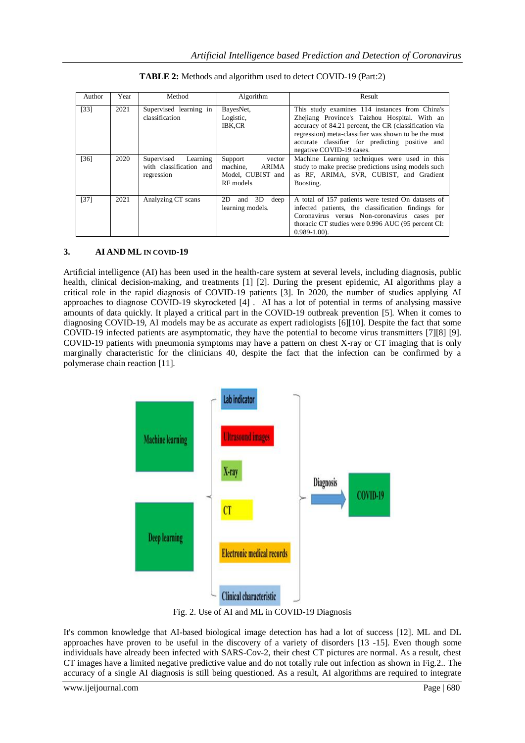| Author | Year | Method                                                          | Algorithm                                                                | Result                                                                                                                                                                                                                                                                                          |
|--------|------|-----------------------------------------------------------------|--------------------------------------------------------------------------|-------------------------------------------------------------------------------------------------------------------------------------------------------------------------------------------------------------------------------------------------------------------------------------------------|
| $[33]$ | 2021 | Supervised learning in<br>classification                        | BayesNet,<br>Logistic,<br><b>IBK,CR</b>                                  | This study examines 114 instances from China's<br>Zhejiang Province's Taizhou Hospital. With an<br>accuracy of 84.21 percent, the CR (classification via<br>regression) meta-classifier was shown to be the most<br>accurate classifier for predicting positive and<br>negative COVID-19 cases. |
| [36]   | 2020 | Supervised<br>Learning<br>with classification and<br>regression | Support<br>vector<br>machine.<br>ARIMA<br>Model, CUBIST and<br>RF models | Machine Learning techniques were used in this<br>study to make precise predictions using models such<br>as RF, ARIMA, SVR, CUBIST, and Gradient<br>Boosting.                                                                                                                                    |
| [37]   | 2021 | Analyzing CT scans                                              | 2D<br>and 3D<br>deep<br>learning models.                                 | A total of 157 patients were tested On datasets of<br>infected patients, the classification findings for<br>Coronavirus versus Non-coronavirus cases per<br>thoracic CT studies were 0.996 AUC (95 percent CI:<br>$0.989 - 1.00$ .                                                              |

| <b>TABLE 2:</b> Methods and algorithm used to detect COVID-19 (Part:2) |
|------------------------------------------------------------------------|
|------------------------------------------------------------------------|

## **3. AI AND ML IN COVID-19**

Artificial intelligence (AI) has been used in the health-care system at several levels, including diagnosis, public health, clinical decision-making, and treatments [1] [2]. During the present epidemic, AI algorithms play a critical role in the rapid diagnosis of COVID-19 patients [3]. In 2020, the number of studies applying AI approaches to diagnose COVID-19 skyrocketed [4] . AI has a lot of potential in terms of analysing massive amounts of data quickly. It played a critical part in the COVID-19 outbreak prevention [5]. When it comes to diagnosing COVID-19, AI models may be as accurate as expert radiologists [6][10]. Despite the fact that some COVID-19 infected patients are asymptomatic, they have the potential to become virus transmitters [7][8] [9]. COVID-19 patients with pneumonia symptoms may have a pattern on chest X-ray or CT imaging that is only marginally characteristic for the clinicians 40, despite the fact that the infection can be confirmed by a polymerase chain reaction [11].



Fig. 2. Use of AI and ML in COVID-19 Diagnosis

It's common knowledge that AI-based biological image detection has had a lot of success [12]. ML and DL approaches have proven to be useful in the discovery of a variety of disorders [13 -15]. Even though some individuals have already been infected with SARS-Cov-2, their chest CT pictures are normal. As a result, chest CT images have a limited negative predictive value and do not totally rule out infection as shown in Fig.2.. The accuracy of a single AI diagnosis is still being questioned. As a result, AI algorithms are required to integrate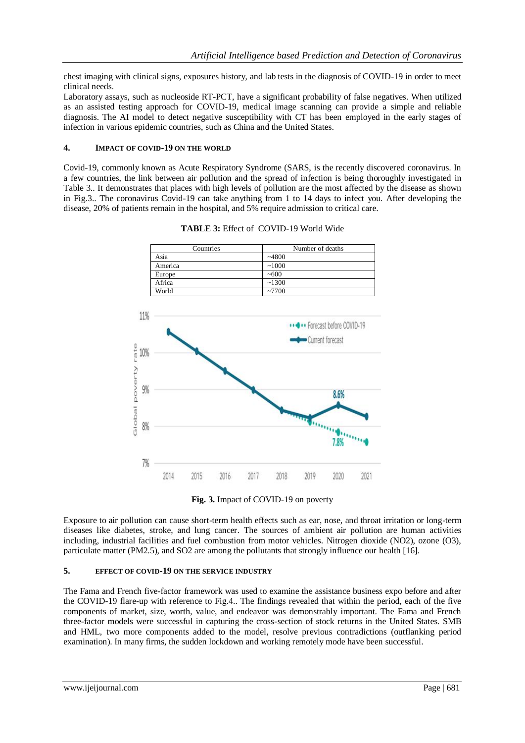chest imaging with clinical signs, exposures history, and lab tests in the diagnosis of COVID-19 in order to meet clinical needs.

Laboratory assays, such as nucleoside RT-PCT, have a significant probability of false negatives. When utilized as an assisted testing approach for COVID-19, medical image scanning can provide a simple and reliable diagnosis. The AI model to detect negative susceptibility with CT has been employed in the early stages of infection in various epidemic countries, such as China and the United States.

### **4. IMPACT OF COVID-19 ON THE WORLD**

Covid-19, commonly known as Acute Respiratory Syndrome (SARS, is the recently discovered coronavirus. In a few countries, the link between air pollution and the spread of infection is being thoroughly investigated in Table 3.. It demonstrates that places with high levels of pollution are the most affected by the disease as shown in Fig.3.. The coronavirus Covid-19 can take anything from 1 to 14 days to infect you. After developing the disease, 20% of patients remain in the hospital, and 5% require admission to critical care.



**TABLE 3:** Effect of COVID-19 World Wide

**Fig. 3.** Impact of COVID-19 on poverty

Exposure to air pollution can cause short-term health effects such as ear, nose, and throat irritation or long-term diseases like diabetes, stroke, and lung cancer. The sources of ambient air pollution are human activities including, industrial facilities and fuel combustion from motor vehicles. Nitrogen dioxide (NO2), ozone (O3), particulate matter (PM2.5), and SO2 are among the pollutants that strongly influence our health [16].

### **5. EFFECT OF COVID-19 ON THE SERVICE INDUSTRY**

The Fama and French five-factor framework was used to examine the assistance business expo before and after the COVID-19 flare-up with reference to Fig.4.. The findings revealed that within the period, each of the five components of market, size, worth, value, and endeavor was demonstrably important. The Fama and French three-factor models were successful in capturing the cross-section of stock returns in the United States. SMB and HML, two more components added to the model, resolve previous contradictions (outflanking period examination). In many firms, the sudden lockdown and working remotely mode have been successful.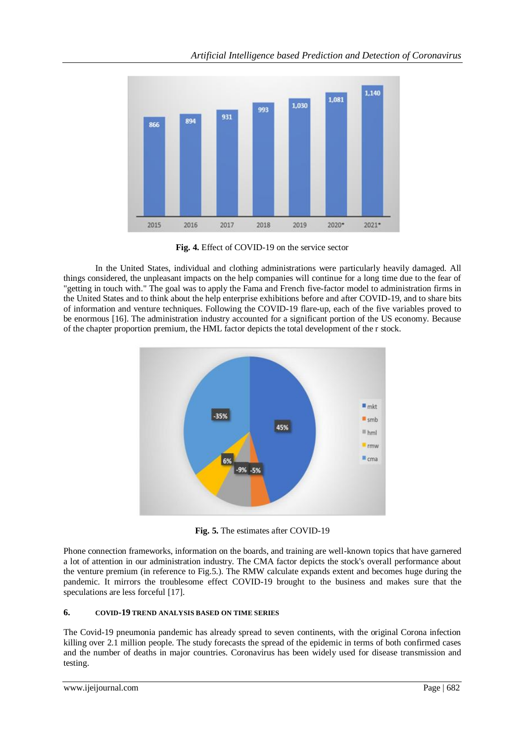

**Fig. 4.** Effect of COVID-19 on the service sector

In the United States, individual and clothing administrations were particularly heavily damaged. All things considered, the unpleasant impacts on the help companies will continue for a long time due to the fear of "getting in touch with." The goal was to apply the Fama and French five-factor model to administration firms in the United States and to think about the help enterprise exhibitions before and after COVID-19, and to share bits of information and venture techniques. Following the COVID-19 flare-up, each of the five variables proved to be enormous [16]. The administration industry accounted for a significant portion of the US economy. Because of the chapter proportion premium, the HML factor depicts the total development of the r stock.



**Fig. 5.** The estimates after COVID-19

Phone connection frameworks, information on the boards, and training are well-known topics that have garnered a lot of attention in our administration industry. The CMA factor depicts the stock's overall performance about the venture premium (in reference to Fig.5.). The RMW calculate expands extent and becomes huge during the pandemic. It mirrors the troublesome effect COVID-19 brought to the business and makes sure that the speculations are less forceful [17].

# **6. COVID-19 TREND ANALYSIS BASED ON TIME SERIES**

The Covid-19 pneumonia pandemic has already spread to seven continents, with the original Corona infection killing over 2.1 million people. The study forecasts the spread of the epidemic in terms of both confirmed cases and the number of deaths in major countries. Coronavirus has been widely used for disease transmission and testing.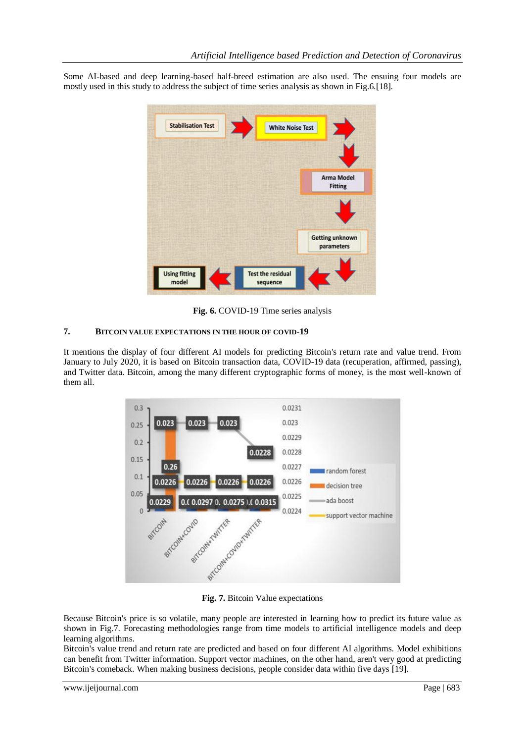Some AI-based and deep learning-based half-breed estimation are also used. The ensuing four models are mostly used in this study to address the subject of time series analysis as shown in Fig.6.[18].



**Fig. 6.** COVID-19 Time series analysis

### **7. BITCOIN VALUE EXPECTATIONS IN THE HOUR OF COVID-19**

It mentions the display of four different AI models for predicting Bitcoin's return rate and value trend. From January to July 2020, it is based on Bitcoin transaction data, COVID-19 data (recuperation, affirmed, passing), and Twitter data. Bitcoin, among the many different cryptographic forms of money, is the most well-known of them all.



**Fig. 7.** Bitcoin Value expectations

Because Bitcoin's price is so volatile, many people are interested in learning how to predict its future value as shown in Fig.7. Forecasting methodologies range from time models to artificial intelligence models and deep learning algorithms.

Bitcoin's value trend and return rate are predicted and based on four different AI algorithms. Model exhibitions can benefit from Twitter information. Support vector machines, on the other hand, aren't very good at predicting Bitcoin's comeback. When making business decisions, people consider data within five days [19].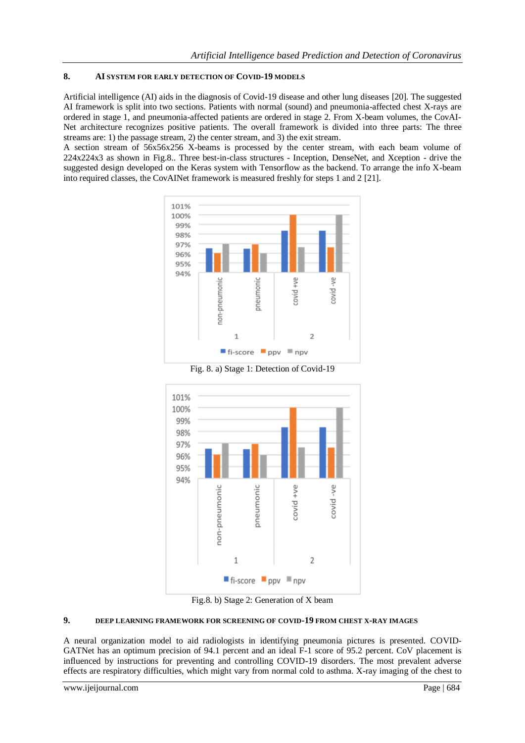## **8. AI SYSTEM FOR EARLY DETECTION OF COVID-19 MODELS**

Artificial intelligence (AI) aids in the diagnosis of Covid-19 disease and other lung diseases [20]. The suggested AI framework is split into two sections. Patients with normal (sound) and pneumonia-affected chest X-rays are ordered in stage 1, and pneumonia-affected patients are ordered in stage 2. From X-beam volumes, the CovAI-Net architecture recognizes positive patients. The overall framework is divided into three parts: The three streams are: 1) the passage stream, 2) the center stream, and 3) the exit stream.

A section stream of 56x56x256 X-beams is processed by the center stream, with each beam volume of 224x224x3 as shown in Fig.8.. Three best-in-class structures - Inception, DenseNet, and Xception - drive the suggested design developed on the Keras system with Tensorflow as the backend. To arrange the info X-beam into required classes, the CovAINet framework is measured freshly for steps 1 and 2 [21].



Fig. 8. a) Stage 1: Detection of Covid-19



Fig.8. b) Stage 2: Generation of X beam

## **9. DEEP LEARNING FRAMEWORK FOR SCREENING OF COVID-19 FROM CHEST X-RAY IMAGES**

A neural organization model to aid radiologists in identifying pneumonia pictures is presented. COVID-GATNet has an optimum precision of 94.1 percent and an ideal F-1 score of 95.2 percent. CoV placement is influenced by instructions for preventing and controlling COVID-19 disorders. The most prevalent adverse effects are respiratory difficulties, which might vary from normal cold to asthma. X-ray imaging of the chest to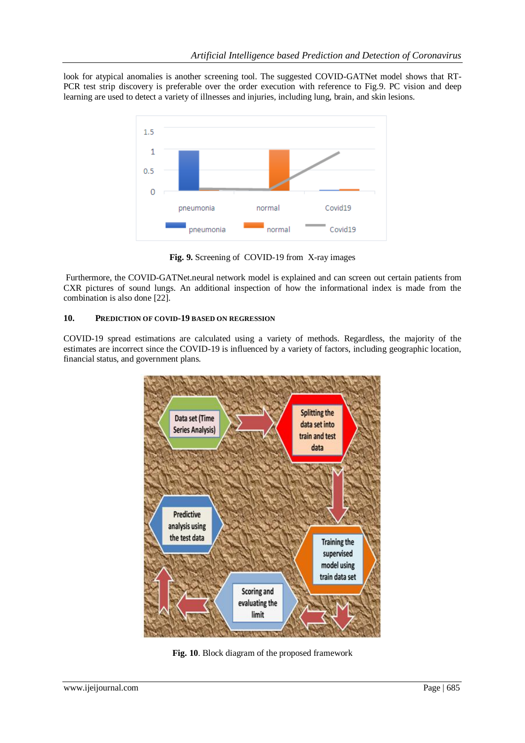look for atypical anomalies is another screening tool. The suggested COVID-GATNet model shows that RT-PCR test strip discovery is preferable over the order execution with reference to Fig.9. PC vision and deep learning are used to detect a variety of illnesses and injuries, including lung, brain, and skin lesions.



**Fig. 9.** Screening of COVID-19 from X-ray images

Furthermore, the COVID-GATNet.neural network model is explained and can screen out certain patients from CXR pictures of sound lungs. An additional inspection of how the informational index is made from the combination is also done [22].

## **10. PREDICTION OF COVID-19 BASED ON REGRESSION**

COVID-19 spread estimations are calculated using a variety of methods. Regardless, the majority of the estimates are incorrect since the COVID-19 is influenced by a variety of factors, including geographic location, financial status, and government plans.



**Fig. 10**. Block diagram of the proposed framework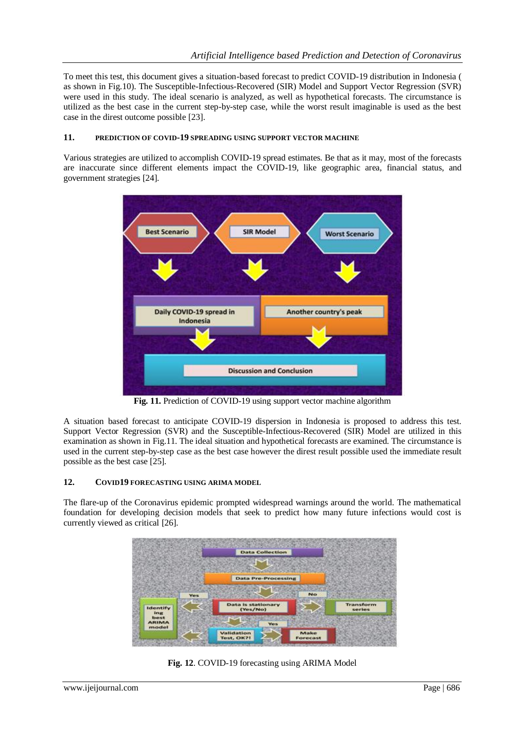To meet this test, this document gives a situation-based forecast to predict COVID-19 distribution in Indonesia ( as shown in Fig.10). The Susceptible-Infectious-Recovered (SIR) Model and Support Vector Regression (SVR) were used in this study. The ideal scenario is analyzed, as well as hypothetical forecasts. The circumstance is utilized as the best case in the current step-by-step case, while the worst result imaginable is used as the best case in the direst outcome possible [23].

## **11. PREDICTION OF COVID-19 SPREADING USING SUPPORT VECTOR MACHINE**

Various strategies are utilized to accomplish COVID-19 spread estimates. Be that as it may, most of the forecasts are inaccurate since different elements impact the COVID-19, like geographic area, financial status, and government strategies [24].



**Fig. 11.** Prediction of COVID-19 using support vector machine algorithm

A situation based forecast to anticipate COVID-19 dispersion in Indonesia is proposed to address this test. Support Vector Regression (SVR) and the Susceptible-Infectious-Recovered (SIR) Model are utilized in this examination as shown in Fig.11. The ideal situation and hypothetical forecasts are examined. The circumstance is used in the current step-by-step case as the best case however the direst result possible used the immediate result possible as the best case [25].

## **12. COVID19 FORECASTING USING ARIMA MODEL**

The flare-up of the Coronavirus epidemic prompted widespread warnings around the world. The mathematical foundation for developing decision models that seek to predict how many future infections would cost is currently viewed as critical [26].



**Fig. 12**. COVID-19 forecasting using ARIMA Model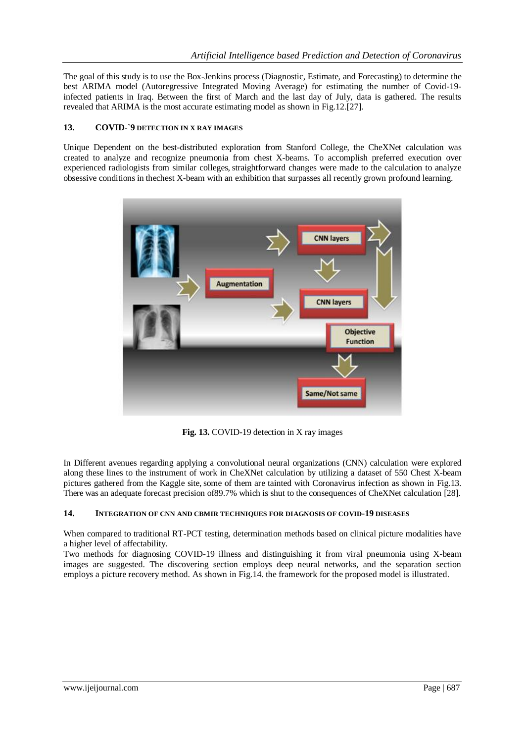The goal of this study is to use the Box-Jenkins process (Diagnostic, Estimate, and Forecasting) to determine the best ARIMA model (Autoregressive Integrated Moving Average) for estimating the number of Covid-19 infected patients in Iraq. Between the first of March and the last day of July, data is gathered. The results revealed that ARIMA is the most accurate estimating model as shown in Fig.12.[27].

## **13. COVID-`9 DETECTION IN X RAY IMAGES**

Unique Dependent on the best-distributed exploration from Stanford College, the CheXNet calculation was created to analyze and recognize pneumonia from chest X-beams. To accomplish preferred execution over experienced radiologists from similar colleges, straightforward changes were made to the calculation to analyze obsessive conditions in thechest X-beam with an exhibition that surpasses all recently grown profound learning.



**Fig. 13.** COVID-19 detection in X ray images

In Different avenues regarding applying a convolutional neural organizations (CNN) calculation were explored along these lines to the instrument of work in CheXNet calculation by utilizing a dataset of 550 Chest X-beam pictures gathered from the Kaggle site, some of them are tainted with Coronavirus infection as shown in Fig.13. There was an adequate forecast precision of89.7% which is shut to the consequences of CheXNet calculation [28].

#### **14. INTEGRATION OF CNN AND CBMIR TECHNIQUES FOR DIAGNOSIS OF COVID-19 DISEASES**

When compared to traditional RT-PCT testing, determination methods based on clinical picture modalities have a higher level of affectability.

Two methods for diagnosing COVID-19 illness and distinguishing it from viral pneumonia using X-beam images are suggested. The discovering section employs deep neural networks, and the separation section employs a picture recovery method. As shown in Fig.14. the framework for the proposed model is illustrated.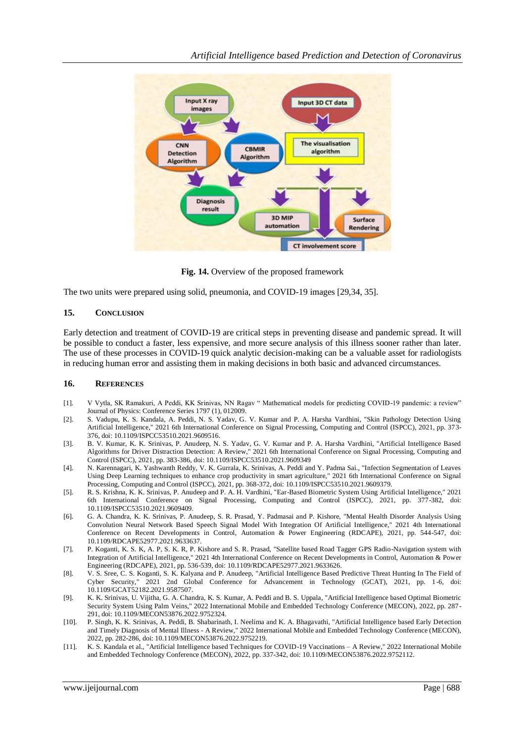

**Fig. 14.** Overview of the proposed framework

The two units were prepared using solid, pneumonia, and COVID-19 images [29,34, 35].

#### **15. CONCLUSION**

Early detection and treatment of COVID-19 are critical steps in preventing disease and pandemic spread. It will be possible to conduct a faster, less expensive, and more secure analysis of this illness sooner rather than later. The use of these processes in COVID-19 quick analytic decision-making can be a valuable asset for radiologists in reducing human error and assisting them in making decisions in both basic and advanced circumstances.

#### **16. REFERENCES**

- [1]. V Vytla, SK Ramakuri, A Peddi, KK Srinivas, NN Ragav " Mathematical models for predicting COVID-19 pandemic: a review" Journal of Physics: Conference Series 1797 (1), 012009.
- [2]. S. Vadupu, K. S. Kandala, A. Peddi, N. S. Yadav, G. V. Kumar and P. A. Harsha Vardhini, "Skin Pathology Detection Using Artificial Intelligence," 2021 6th International Conference on Signal Processing, Computing and Control (ISPCC), 2021, pp. 373- 376, doi: 10.1109/ISPCC53510.2021.9609516.
- [3]. B. V. Kumar, K. K. Srinivas, P. Anudeep, N. S. Yadav, G. V. Kumar and P. A. Harsha Vardhini, "Artificial Intelligence Based Algorithms for Driver Distraction Detection: A Review," 2021 6th International Conference on Signal Processing, Computing and Control (ISPCC), 2021, pp. 383-386, doi: 10.1109/ISPCC53510.2021.9609349
- [4]. N. Karennagari, K. Yashwanth Reddy, V. K. Gurrala, K. Srinivas, A. Peddi and Y. Padma Sai., "Infection Segmentation of Leaves Using Deep Learning techniques to enhance crop productivity in smart agriculture," 2021 6th International Conference on Signal Processing, Computing and Control (ISPCC), 2021, pp. 368-372, doi: 10.1109/ISPCC53510.2021.9609379.
- [5]. R. S. Krishna, K. K. Srinivas, P. Anudeep and P. A. H. Vardhini, "Ear-Based Biometric System Using Artificial Intelligence," 2021 6th International Conference on Signal Processing, Computing and Control (ISPCC), 2021, pp. 377-382, doi: 10.1109/ISPCC53510.2021.9609409.
- [6]. G. A. Chandra, K. K. Srinivas, P. Anudeep, S. R. Prasad, Y. Padmasai and P. Kishore, "Mental Health Disorder Analysis Using Convolution Neural Network Based Speech Signal Model With Integration Of Artificial Intelligence," 2021 4th International Conference on Recent Developments in Control, Automation & Power Engineering (RDCAPE), 2021, pp. 544-547, doi: 10.1109/RDCAPE52977.2021.9633637.
- [7]. P. Koganti, K. S. K, A. P, S. K. R, P. Kishore and S. R. Prasad, "Satellite based Road Tagger GPS Radio-Navigation system with Integration of Artificial Intelligence," 2021 4th International Conference on Recent Developments in Control, Automation & Power Engineering (RDCAPE), 2021, pp. 536-539, doi: 10.1109/RDCAPE52977.2021.9633626.
- [8]. V. S. Sree, C. S. Koganti, S. K. Kalyana and P. Anudeep, "Artificial Intelligence Based Predictive Threat Hunting In The Field of Cyber Security," 2021 2nd Global Conference for Advancement in Technology (GCAT), 2021, pp. 1 -6, doi: 10.1109/GCAT52182.2021.9587507.
- [9]. K. K. Srinivas, U. Vijitha, G. A. Chandra, K. S. Kumar, A. Peddi and B. S. Uppala, "Artificial Intelligence based Optimal Biometric Security System Using Palm Veins," 2022 International Mobile and Embedded Technology Conference (MECON), 2022, pp. 287- 291, doi: 10.1109/MECON53876.2022.9752324.
- [10]. P. Singh, K. K. Srinivas, A. Peddi, B. Shabarinath, I. Neelima and K. A. Bhagavathi, "Artificial Intelligence based Early Detection and Timely Diagnosis of Mental Illness - A Review," 2022 International Mobile and Embedded Technology Conference (MECON), 2022, pp. 282-286, doi: 10.1109/MECON53876.2022.9752219.
- [11]. K. S. Kandala et al., "Artificial Intelligence based Techniques for COVID-19 Vaccinations A Review," 2022 International Mobile and Embedded Technology Conference (MECON), 2022, pp. 337-342, doi: 10.1109/MECON53876.2022.9752112.